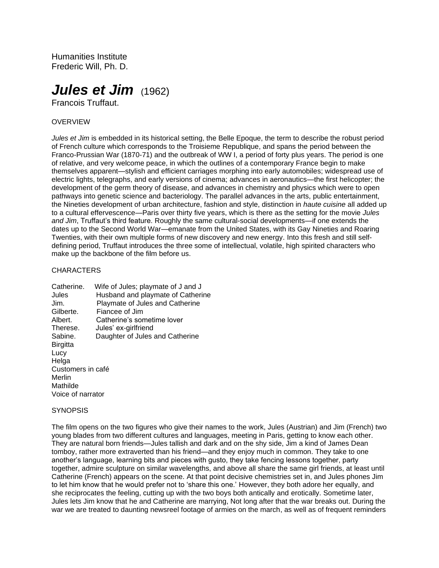Humanities Institute Frederic Will, Ph. D.

# *Jules et Jim* (1962)

Francois Truffaut.

## OVERVIEW

*Jules et Jim* is embedded in its historical setting, the Belle Epoque, the term to describe the robust period of French culture which corresponds to the Troisieme Republique, and spans the period between the Franco-Prussian War (1870-71) and the outbreak of WW I, a period of forty plus years. The period is one of relative, and very welcome peace, in which the outlines of a contemporary France begin to make themselves apparent—stylish and efficient carriages morphing into early automobiles; widespread use of electric lights, telegraphs, and early versions of cinema; advances in aeronautics—the first helicopter; the development of the germ theory of disease, and advances in chemistry and physics which were to open pathways into genetic science and bacteriology. The parallel advances in the arts, public entertainment, the Nineties development of urban architecture, fashion and style, distinction in *haute cuisine* all added up to a cultural effervescence—Paris over thirty five years, which is there as the setting for the movie *Jules and Jim*, Truffaut's third feature. Roughly the same cultural-social developments—if one extends the dates up to the Second World War—emanate from the United States, with its Gay Nineties and Roaring Twenties, with their own multiple forms of new discovery and new energy. Into this fresh and still selfdefining period, Truffaut introduces the three some of intellectual, volatile, high spirited characters who make up the backbone of the film before us.

#### **CHARACTERS**

| Catherine.        | Wife of Jules; playmate of J and J |
|-------------------|------------------------------------|
| Jules             | Husband and playmate of Catherine  |
| Jim.              | Playmate of Jules and Catherine    |
| Gilberte.         | Fiancee of Jim                     |
| Albert.           | Catherine's sometime lover         |
| Therese.          | Jules' ex-girlfriend               |
| Sabine.           | Daughter of Jules and Catherine    |
| <b>Birgitta</b>   |                                    |
| Lucy              |                                    |
| Helga             |                                    |
| Customers in café |                                    |
| Merlin            |                                    |
| Mathilde          |                                    |
| Voice of narrator |                                    |

#### **SYNOPSIS**

The film opens on the two figures who give their names to the work, Jules (Austrian) and Jim (French) two young blades from two different cultures and languages, meeting in Paris, getting to know each other. They are natural born friends—Jules tallish and dark and on the shy side, Jim a kind of James Dean tomboy, rather more extraverted than his friend—and they enjoy much in common. They take to one another's language, learning bits and pieces with gusto, they take fencing lessons together, party together, admire sculpture on similar wavelengths, and above all share the same girl friends, at least until Catherine (French) appears on the scene. At that point decisive chemistries set in, and Jules phones Jim to let him know that he would prefer not to 'share this one.' However, they both adore her equally, and she reciprocates the feeling, cutting up with the two boys both antically and erotically. Sometime later, Jules lets Jim know that he and Catherine are marrying, Not long after that the war breaks out. During the war we are treated to daunting newsreel footage of armies on the march, as well as of frequent reminders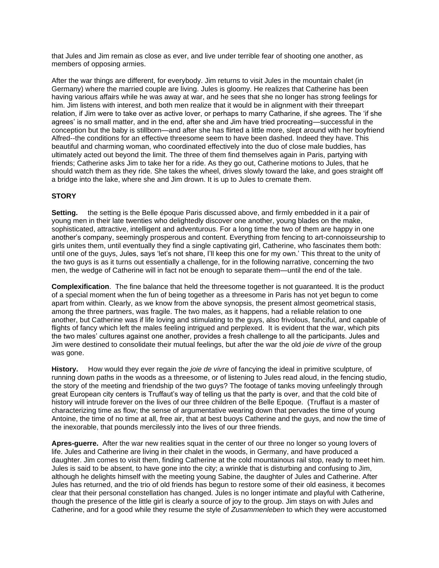that Jules and Jim remain as close as ever, and live under terrible fear of shooting one another, as members of opposing armies.

After the war things are different, for everybody. Jim returns to visit Jules in the mountain chalet (in Germany) where the married couple are living. Jules is gloomy. He realizes that Catherine has been having various affairs while he was away at war, and he sees that she no longer has strong feelings for him. Jim listens with interest, and both men realize that it would be in alignment with their threepart relation, if Jim were to take over as active lover, or perhaps to marry Catharine, if she agrees. The 'if she agrees' is no small matter, and in the end, after she and Jim have tried procreating—successful in the conception but the baby is stillborn—and after she has flirted a little more, slept around with her boyfriend Alfred--the conditions for an effective threesome seem to have been dashed. Indeed they have. This beautiful and charming woman, who coordinated effectively into the duo of close male buddies, has ultimately acted out beyond the limit. The three of them find themselves again in Paris, partying with friends; Catherine asks Jim to take her for a ride. As they go out, Catherine motions to Jules, that he should watch them as they ride. She takes the wheel, drives slowly toward the lake, and goes straight off a bridge into the lake, where she and Jim drown. It is up to Jules to cremate them.

## **STORY**

**Setting.** the setting is the Belle époque Paris discussed above, and firmly embedded in it a pair of young men in their late twenties who delightedly discover one another, young blades on the make, sophisticated, attractive, intelligent and adventurous. For a long time the two of them are happy in one another's company, seemingly prosperous and content. Everything from fencing to art-connoisseurship to girls unites them, until eventually they find a single captivating girl, Catherine, who fascinates them both: until one of the guys, Jules, says 'let's not share, I'll keep this one for my own.' This threat to the unity of the two guys is as it turns out essentially a challenge, for in the following narrative, concerning the two men, the wedge of Catherine will in fact not be enough to separate them—until the end of the tale.

**Complexification**. The fine balance that held the threesome together is not guaranteed. It is the product of a special moment when the fun of being together as a threesome in Paris has not yet begun to come apart from within. Clearly, as we know from the above synopsis, the present almost geometrical stasis, among the three partners, was fragile. The two males, as it happens, had a reliable relation to one another, but Catherine was if life loving and stimulating to the guys, also frivolous, fanciful, and capable of flights of fancy which left the males feeling intrigued and perplexed. It is evident that the war, which pits the two males' cultures against one another, provides a fresh challenge to all the participants. Jules and Jim were destined to consolidate their mutual feelings, but after the war the old *joie de vivre* of the group was gone.

**History.** How would they ever regain the *joie de vivre* of fancying the ideal in primitive sculpture, of running down paths in the woods as a threesome, or of listening to Jules read aloud, in the fencing studio, the story of the meeting and friendship of the two guys? The footage of tanks moving unfeelingly through great European city centers is Truffaut's way of telling us that the party is over, and that the cold bite of history will intrude forever on the lives of our three children of the Belle Epoque. (Truffaut is a master of characterizing time as flow; the sense of argumentative wearing down that pervades the time of young Antoine, the time of no time at all, free air, that at best buoys Catherine and the guys, and now the time of the inexorable, that pounds mercilessly into the lives of our three friends.

**Apres-guerre.** After the war new realities squat in the center of our three no longer so young lovers of life. Jules and Catherine are living in their chalet in the woods, in Germany, and have produced a daughter. Jim comes to visit them, finding Catherine at the cold mountainous rail stop, ready to meet him. Jules is said to be absent, to have gone into the city; a wrinkle that is disturbing and confusing to Jim, although he delights himself with the meeting young Sabine, the daughter of Jules and Catherine. After Jules has returned, and the trio of old friends has begun to restore some of their old easiness, it becomes clear that their personal constellation has changed. Jules is no longer intimate and playful with Catherine, though the presence of the little girl is clearly a source of joy to the group. Jim stays on with Jules and Catherine, and for a good while they resume the style of *Zusammenleben* to which they were accustomed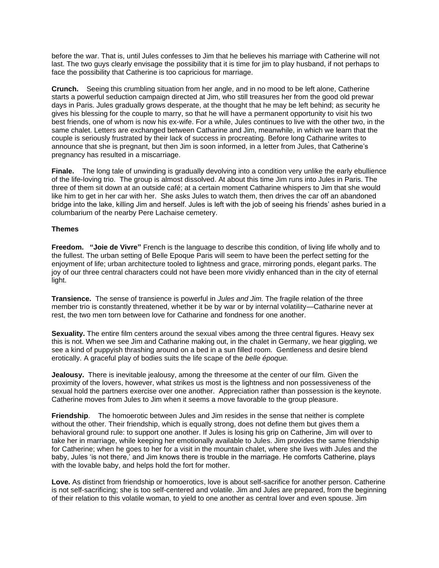before the war. That is, until Jules confesses to Jim that he believes his marriage with Catherine will not last. The two guys clearly envisage the possibility that it is time for jim to play husband, if not perhaps to face the possibility that Catherine is too capricious for marriage.

**Crunch.** Seeing this crumbling situation from her angle, and in no mood to be left alone, Catherine starts a powerful seduction campaign directed at Jim, who still treasures her from the good old prewar days in Paris. Jules gradually grows desperate, at the thought that he may be left behind; as security he gives his blessing for the couple to marry, so that he will have a permanent opportunity to visit his two best friends, one of whom is now his ex-wife. For a while, Jules continues to live with the other two, in the same chalet. Letters are exchanged between Catharine and Jim, meanwhile, in which we learn that the couple is seriously frustrated by their lack of success in procreating. Before long Catharine writes to announce that she is pregnant, but then Jim is soon informed, in a letter from Jules, that Catherine's pregnancy has resulted in a miscarriage.

**Finale.** The long tale of unwinding is gradually devolving into a condition very unlike the early ebullience of the life-loving trio. The group is almost dissolved. At about this time Jim runs into Jules in Paris. The three of them sit down at an outside café; at a certain moment Catharine whispers to Jim that she would like him to get in her car with her. She asks Jules to watch them, then drives the car off an abandoned bridge into the lake, killing Jim and herself. Jules is left with the job of seeing his friends' ashes buried in a columbarium of the nearby Pere Lachaise cemetery.

#### **Themes**

**Freedom. "Joie de Vivre"** French is the language to describe this condition, of living life wholly and to the fullest. The urban setting of Belle Epoque Paris will seem to have been the perfect setting for the enjoyment of life; urban architecture tooled to lightness and grace, mirroring ponds, elegant parks. The joy of our three central characters could not have been more vividly enhanced than in the city of eternal light.

**Transience.** The sense of transience is powerful in *Jules and Jim.* The fragile relation of the three member trio is constantly threatened, whether it be by war or by internal volatility—Catharine never at rest, the two men torn between love for Catharine and fondness for one another.

**Sexuality.** The entire film centers around the sexual vibes among the three central figures. Heavy sex this is not. When we see Jim and Catharine making out, in the chalet in Germany, we hear giggling, we see a kind of puppyish thrashing around on a bed in a sun filled room. Gentleness and desire blend erotically. A graceful play of bodies suits the life scape of the *belle époque.*

**Jealousy.** There is inevitable jealousy, among the threesome at the center of our film. Given the proximity of the lovers, however, what strikes us most is the lightness and non possessiveness of the sexual hold the partners exercise over one another. Appreciation rather than possession is the keynote. Catherine moves from Jules to Jim when it seems a move favorable to the group pleasure.

**Friendship**. The homoerotic between Jules and Jim resides in the sense that neither is complete without the other. Their friendship, which is equally strong, does not define them but gives them a behavioral ground rule: to support one another. If Jules is losing his grip on Catherine, Jim will over to take her in marriage, while keeping her emotionally available to Jules. Jim provides the same friendship for Catherine; when he goes to her for a visit in the mountain chalet, where she lives with Jules and the baby, Jules 'is not there,' and Jim knows there is trouble in the marriage. He comforts Catherine, plays with the lovable baby, and helps hold the fort for mother.

**Love.** As distinct from friendship or homoerotics, love is about self-sacrifice for another person. Catherine is not self-sacrificing; she is too self-centered and volatile. Jim and Jules are prepared, from the beginning of their relation to this volatile woman, to yield to one another as central lover and even spouse. Jim